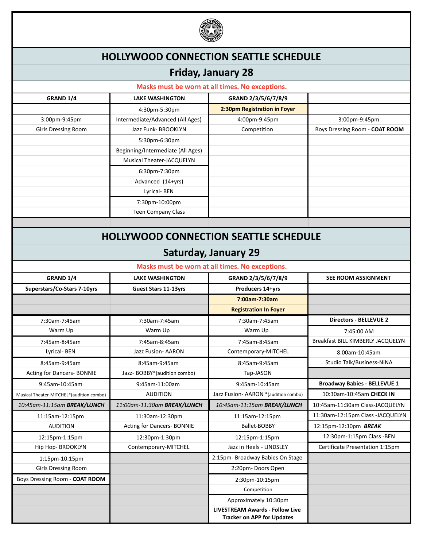

## **HOLLYWOOD CONNECTION SEATTLE SCHEDULE**

# **Friday, January 28**

| Masks must be worn at all times. No exceptions. |                                   |                                                                             |                                     |  |
|-------------------------------------------------|-----------------------------------|-----------------------------------------------------------------------------|-------------------------------------|--|
| GRAND 1/4                                       | <b>LAKE WASHINGTON</b>            | GRAND 2/3/5/6/7/8/9                                                         |                                     |  |
|                                                 | 4:30pm-5:30pm                     | 2:30pm Registration in Foyer                                                |                                     |  |
| 3:00pm-9:45pm                                   | Intermediate/Advanced (All Ages)  | 4:00pm-9:45pm                                                               | 3:00pm-9:45pm                       |  |
| <b>Girls Dressing Room</b>                      | Jazz Funk- BROOKLYN               | Competition                                                                 | Boys Dressing Room - COAT ROOM      |  |
|                                                 | 5:30pm-6:30pm                     |                                                                             |                                     |  |
|                                                 | Beginning/Intermediate (All Ages) |                                                                             |                                     |  |
|                                                 | Musical Theater-JACQUELYN         |                                                                             |                                     |  |
|                                                 | 6:30pm-7:30pm                     |                                                                             |                                     |  |
|                                                 | Advanced (14+yrs)                 |                                                                             |                                     |  |
|                                                 | Lyrical-BEN                       |                                                                             |                                     |  |
|                                                 | 7:30pm-10:00pm                    |                                                                             |                                     |  |
|                                                 | <b>Teen Company Class</b>         |                                                                             |                                     |  |
|                                                 |                                   |                                                                             |                                     |  |
| <b>HOLLYWOOD CONNECTION SEATTLE SCHEDULE</b>    |                                   |                                                                             |                                     |  |
|                                                 |                                   | <b>Saturday, January 29</b>                                                 |                                     |  |
|                                                 |                                   | Masks must be worn at all times. No exceptions.                             |                                     |  |
| GRAND 1/4                                       | <b>LAKE WASHINGTON</b>            | GRAND 2/3/5/6/7/8/9                                                         | SEE ROOM ASSIGNMENT                 |  |
| Superstars/Co-Stars 7-10yrs                     | <b>Guest Stars 11-13yrs</b>       | Producers 14+yrs                                                            |                                     |  |
|                                                 |                                   | 7:00am-7:30am                                                               |                                     |  |
|                                                 |                                   | <b>Registration In Foyer</b>                                                |                                     |  |
| 7:30am-7:45am                                   | 7:30am-7:45am                     | 7:30am-7:45am                                                               | <b>Directors - BELLEVUE 2</b>       |  |
| Warm Up                                         | Warm Up                           | Warm Up                                                                     | 7:45:00 AM                          |  |
| 7:45am-8:45am                                   | 7:45am-8:45am                     | 7:45am-8:45am                                                               | Breakfast BILL KIMBERLY JACQUELYN   |  |
| Lyrical-BEN                                     | Jazz Fusion- AARON                | Contemporary-MITCHEL                                                        | 8:00am-10:45am                      |  |
| 8:45am-9:45am                                   | 8:45am-9:45am                     | 8:45am-9:45am                                                               | Studio Talk/Business-NINA           |  |
| <b>Acting for Dancers- BONNIE</b>               | Jazz- BOBBY*(audition combo)      | Tap-JASON                                                                   |                                     |  |
| 9:45am-10:45am                                  | 9:45am-11:00am                    | 9:45am-10:45am                                                              | <b>Broadway Babies - BELLEVUE 1</b> |  |
| Musical Theater-MITCHEL*(audition combo)        | <b>AUDITION</b>                   | Jazz Fusion- AARON *(audition combo)                                        | 10:30am-10:45am CHECK IN            |  |
| 10:45am-11:15am BREAK/LUNCH                     | 11:00am-11:30am BREAK/LUNCH       | 10:45am-11:15am BREAK/LUNCH                                                 | 10:45am-11:30am Class-JACQUELYN     |  |
| 11:15am-12:15pm                                 | 11:30am-12:30pm                   | 11:15am-12:15pm                                                             | 11:30am-12:15pm Class -JACQUELYN    |  |
| <b>AUDITION</b>                                 | <b>Acting for Dancers- BONNIE</b> | Ballet-BOBBY                                                                | 12:15pm-12:30pm BREAK               |  |
| 12:15pm-1:15pm                                  | 12:30pm-1:30pm                    | 12:15pm-1:15pm                                                              | 12:30pm-1:15pm Class -BEN           |  |
| Hip Hop- BROOKLYN                               | Contemporary-MITCHEL              | Jazz in Heels - LINDSLEY                                                    | Certificate Presentation 1:15pm     |  |
| 1:15pm-10:15pm                                  |                                   | 2:15pm- Broadway Babies On Stage                                            |                                     |  |
| <b>Girls Dressing Room</b>                      |                                   | 2:20pm-Doors Open                                                           |                                     |  |
| Boys Dressing Room - COAT ROOM                  |                                   | 2:30pm-10:15pm                                                              |                                     |  |
|                                                 |                                   | Competition                                                                 |                                     |  |
|                                                 |                                   | Approximately 10:30pm                                                       |                                     |  |
|                                                 |                                   | <b>LIVESTREAM Awards - Follow Live</b><br><b>Tracker on APP for Updates</b> |                                     |  |